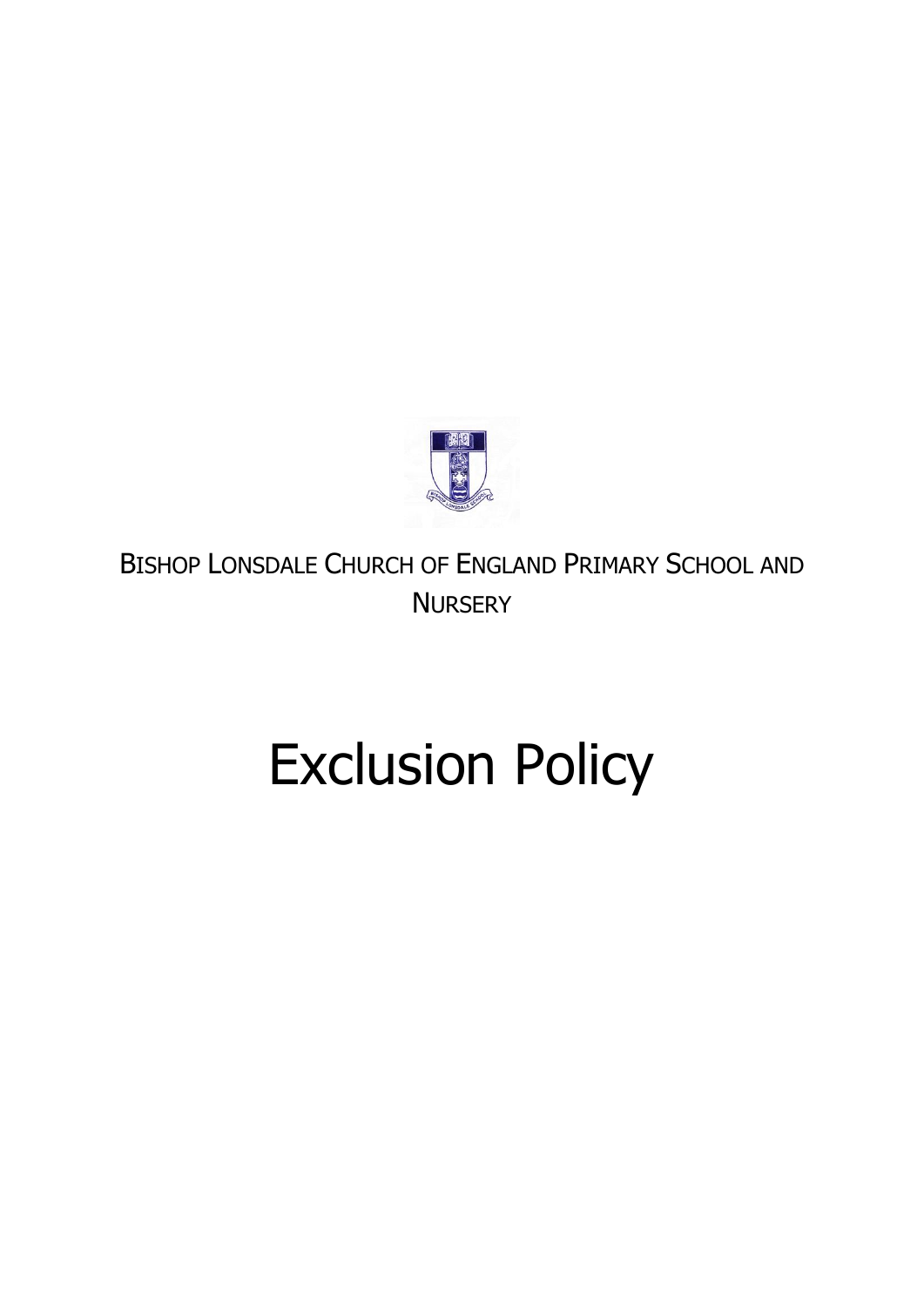

BISHOP LONSDALE CHURCH OF ENGLAND PRIMARY SCHOOL AND **NURSERY** 

# Exclusion Policy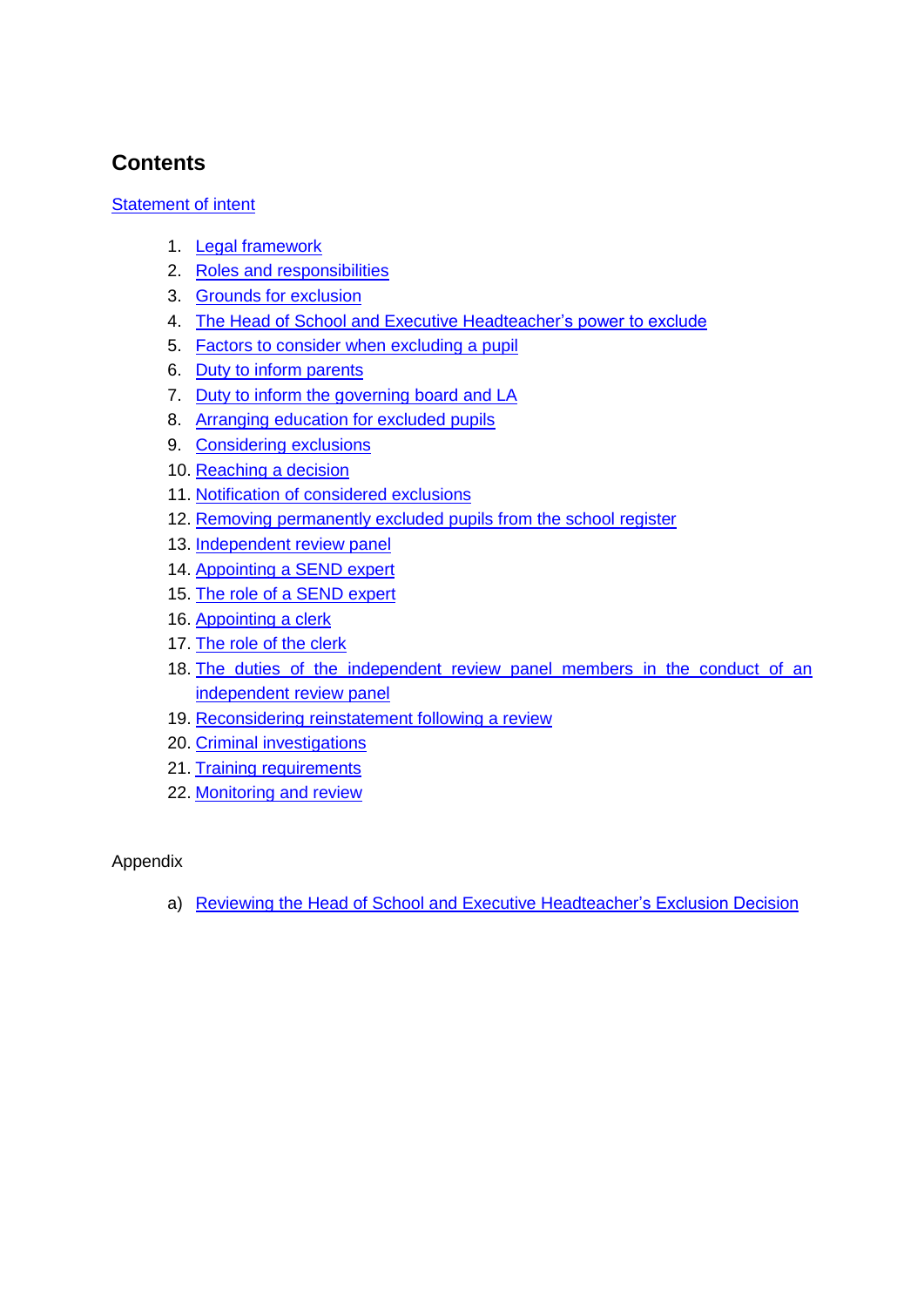#### **Contents**

#### [Statement of intent](#page-2-0)

- 1. [Legal framework](#page-3-0)
- 2. [Roles and responsibilities](#page-3-1)
- 3. [Grounds for exclusion](#page-6-0)
- 4. [The Head of School and Executive Headteacher's power to exclude](#page-7-0)
- 5. [Factors to consider when excluding a pupil](#page-8-0)
- 6. [Duty to inform parents](#page-9-0)
- 7. [Duty to inform the governing board](#page-10-0) and LA
- 8. [Arranging education for excluded pupils](#page-10-1)
- 9. [Considering exclusions](#page-11-0)
- 10. [Reaching a decision](#page-12-0)
- 11. [Notification of considered exclusions](#page-13-0)
- 12. [Removing permanently excluded pupils from the school register](#page-14-0)
- 13. [Independent review panel](#page-14-1)
- 14. [Appointing a SEND](#page-15-0) expert
- 15. [The role of a SEND](#page-16-0) expert
- 16. [Appointing a clerk](#page-17-0)
- 17. [The role of the clerk](#page-17-1)
- 18. [The duties of the independent review panel members in the conduct of an](#page-18-0)  [independent review panel](#page-18-0)
- 19. [Reconsidering reinstatement](#page-18-1) following a review
- 20. [Criminal investigations](#page-18-2)
- 21. [Training requirements](#page-19-0)
- 22. [Monitoring and review](#page-19-1)

#### Appendix

a) [Reviewing the Head of School and Executive Headteacher's Exclusion Decision](#page-20-0)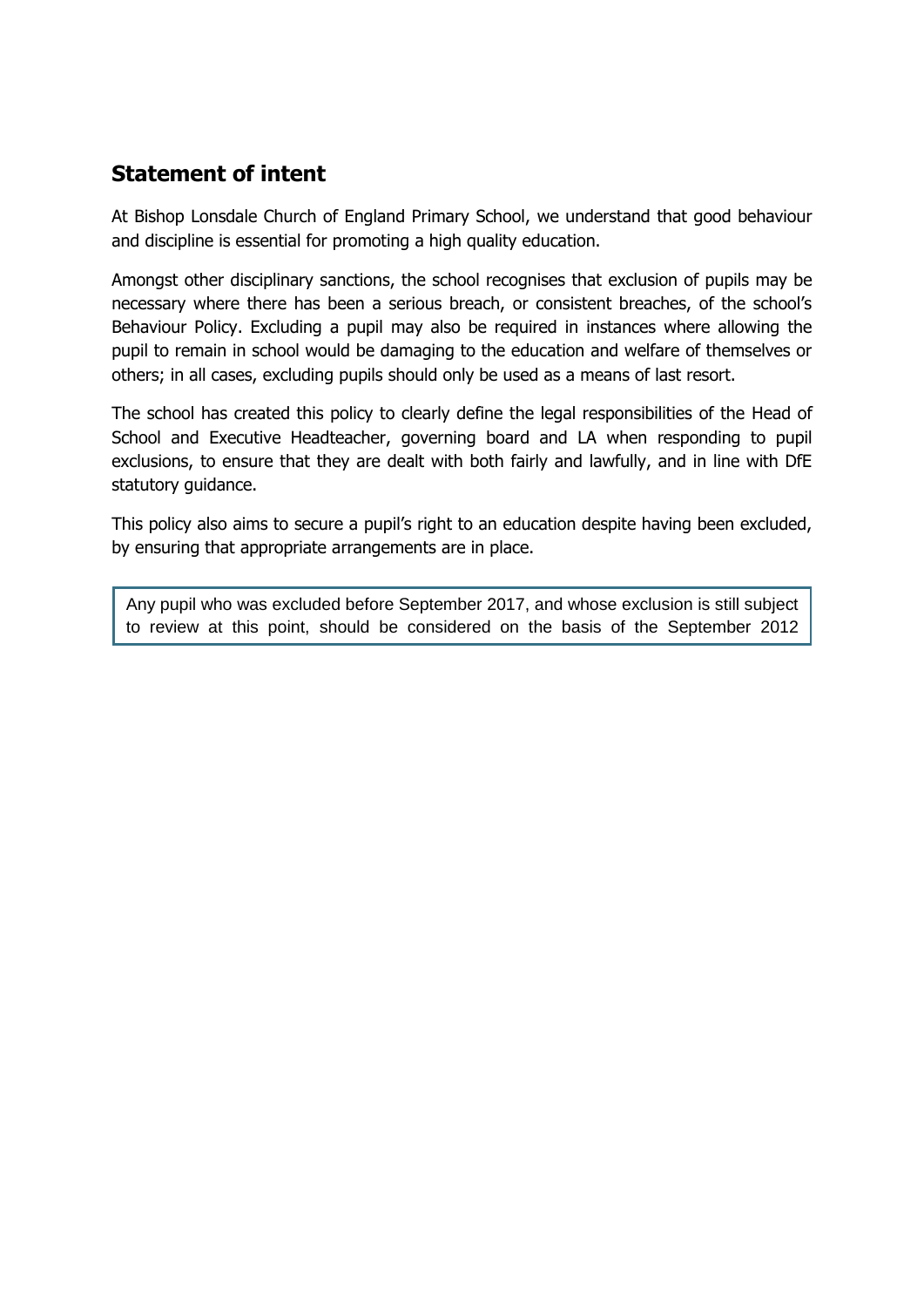#### <span id="page-2-0"></span>**Statement of intent**

guidance.

At Bishop Lonsdale Church of England Primary School, we understand that good behaviour and discipline is essential for promoting a high quality education.

Amongst other disciplinary sanctions, the school recognises that exclusion of pupils may be necessary where there has been a serious breach, or consistent breaches, of the school's Behaviour Policy. Excluding a pupil may also be required in instances where allowing the pupil to remain in school would be damaging to the education and welfare of themselves or others; in all cases, excluding pupils should only be used as a means of last resort.

The school has created this policy to clearly define the legal responsibilities of the Head of School and Executive Headteacher, governing board and LA when responding to pupil exclusions, to ensure that they are dealt with both fairly and lawfully, and in line with DfE statutory guidance.

This policy also aims to secure a pupil's right to an education despite having been excluded, by ensuring that appropriate arrangements are in place.

Any pupil who was excluded before September 2017, and whose exclusion is still subject to review at this point, should be considered on the basis of the September 2012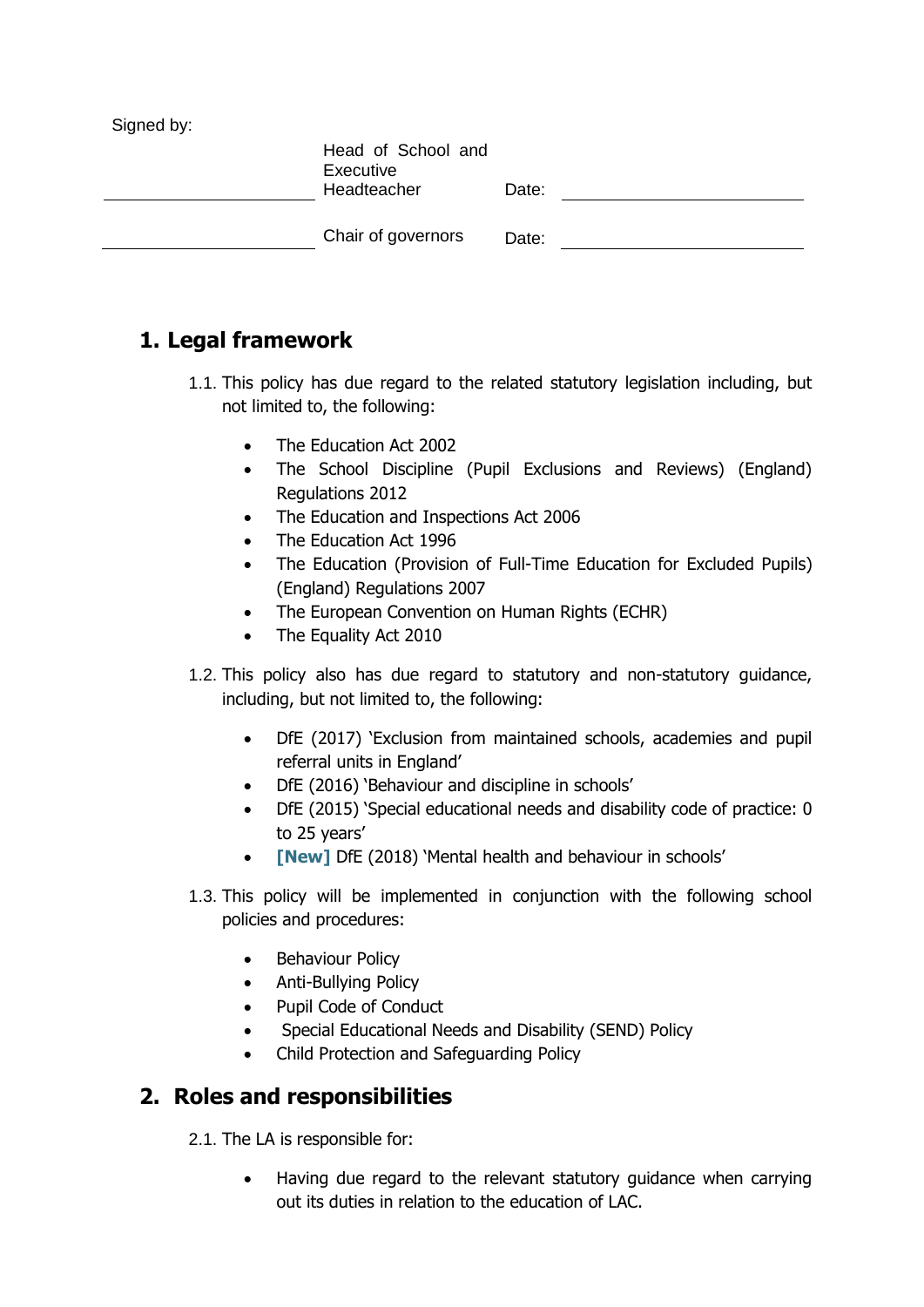| Signed by: | Head of School and       |       |  |
|------------|--------------------------|-------|--|
|            | Executive<br>Headteacher | Date: |  |
|            | Chair of governors       | Date: |  |
|            |                          |       |  |

# <span id="page-3-0"></span>**1. Legal framework**

- 1.1. This policy has due regard to the related statutory legislation including, but not limited to, the following:
	- The Education Act 2002
	- The School Discipline (Pupil Exclusions and Reviews) (England) Regulations 2012
	- The Education and Inspections Act 2006
	- The Education Act 1996
	- The Education (Provision of Full-Time Education for Excluded Pupils) (England) Regulations 2007
	- The European Convention on Human Rights (ECHR)
	- The Equality Act 2010
- 1.2. This policy also has due regard to statutory and non-statutory guidance, including, but not limited to, the following:
	- DfE (2017) 'Exclusion from maintained schools, academies and pupil referral units in England'
	- DfE (2016) 'Behaviour and discipline in schools'
	- DfE (2015) 'Special educational needs and disability code of practice: 0 to 25 years'
	- **[New]** DfE (2018) 'Mental health and behaviour in schools'
- 1.3. This policy will be implemented in conjunction with the following school policies and procedures:
	- **Behaviour Policy**
	- Anti-Bullying Policy
	- Pupil Code of Conduct
	- Special Educational Needs and Disability (SEND) Policy
	- Child Protection and Safeguarding Policy

#### <span id="page-3-1"></span>**2. Roles and responsibilities**

- 2.1. The LA is responsible for:
	- Having due regard to the relevant statutory guidance when carrying out its duties in relation to the education of LAC.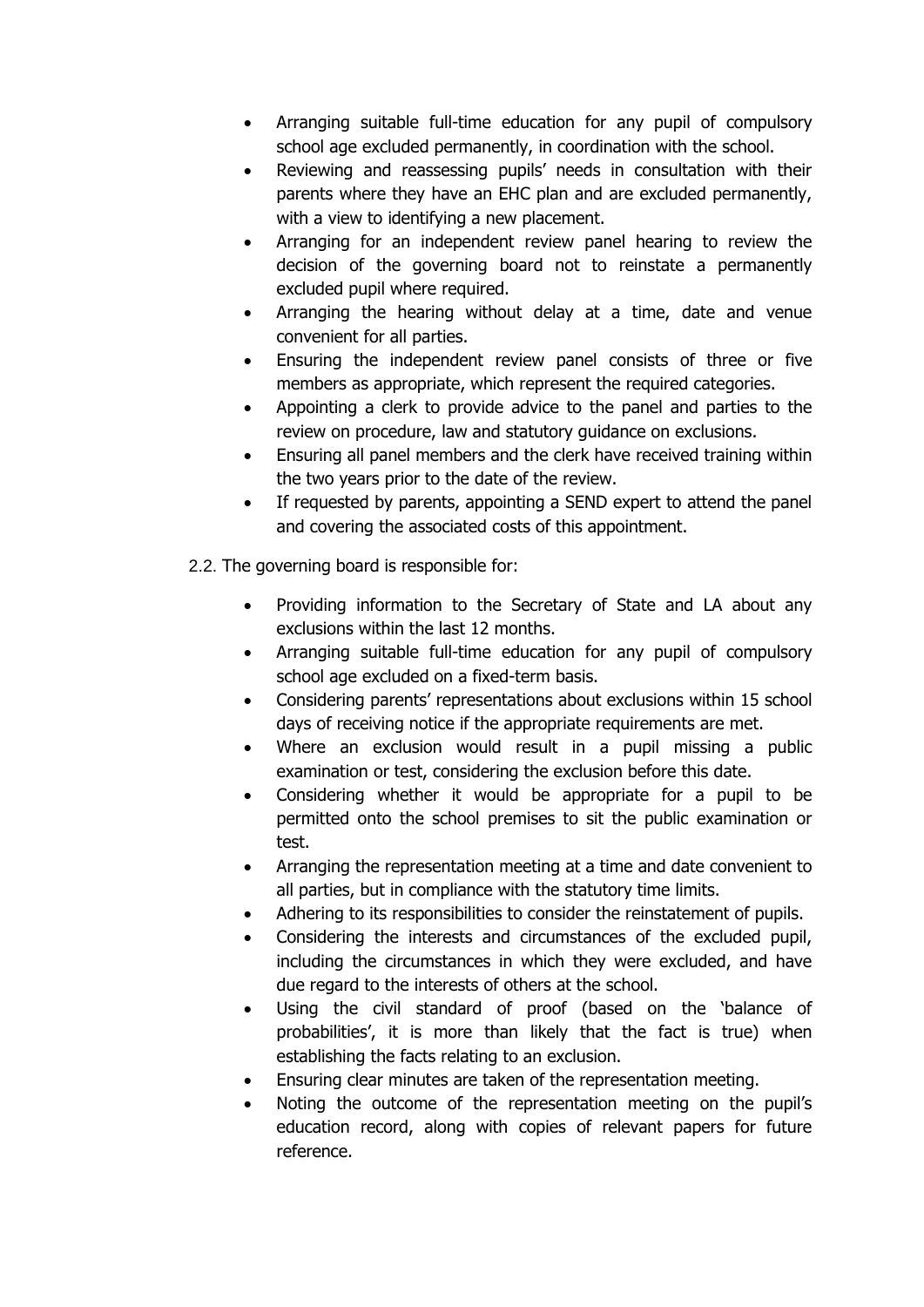- Arranging suitable full-time education for any pupil of compulsory school age excluded permanently, in coordination with the school.
- Reviewing and reassessing pupils' needs in consultation with their parents where they have an EHC plan and are excluded permanently, with a view to identifying a new placement.
- Arranging for an independent review panel hearing to review the decision of the governing board not to reinstate a permanently excluded pupil where required.
- Arranging the hearing without delay at a time, date and venue convenient for all parties.
- Ensuring the independent review panel consists of three or five members as appropriate, which represent the required categories.
- Appointing a clerk to provide advice to the panel and parties to the review on procedure, law and statutory guidance on exclusions.
- Ensuring all panel members and the clerk have received training within the two years prior to the date of the review.
- If requested by parents, appointing a SEND expert to attend the panel and covering the associated costs of this appointment.
- 2.2. The governing board is responsible for:
	- Providing information to the Secretary of State and LA about any exclusions within the last 12 months.
	- Arranging suitable full-time education for any pupil of compulsory school age excluded on a fixed-term basis.
	- Considering parents' representations about exclusions within 15 school days of receiving notice if the appropriate requirements are met.
	- Where an exclusion would result in a pupil missing a public examination or test, considering the exclusion before this date.
	- Considering whether it would be appropriate for a pupil to be permitted onto the school premises to sit the public examination or test.
	- Arranging the representation meeting at a time and date convenient to all parties, but in compliance with the statutory time limits.
	- Adhering to its responsibilities to consider the reinstatement of pupils.
	- Considering the interests and circumstances of the excluded pupil, including the circumstances in which they were excluded, and have due regard to the interests of others at the school.
	- Using the civil standard of proof (based on the 'balance of probabilities', it is more than likely that the fact is true) when establishing the facts relating to an exclusion.
	- Ensuring clear minutes are taken of the representation meeting.
	- Noting the outcome of the representation meeting on the pupil's education record, along with copies of relevant papers for future reference.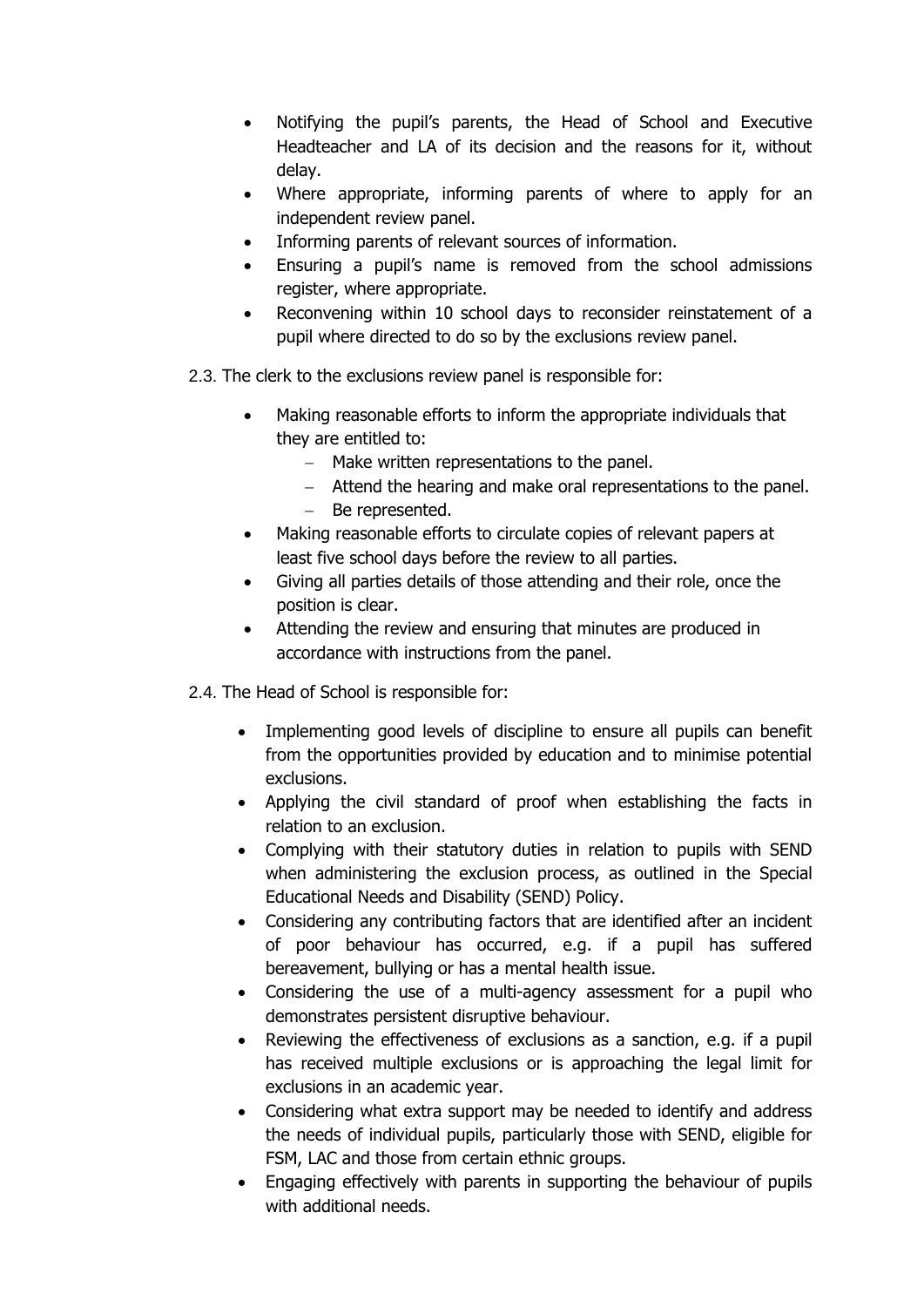- Notifying the pupil's parents, the Head of School and Executive Headteacher and LA of its decision and the reasons for it, without delay.
- Where appropriate, informing parents of where to apply for an independent review panel.
- Informing parents of relevant sources of information.
- Ensuring a pupil's name is removed from the school admissions register, where appropriate.
- Reconvening within 10 school days to reconsider reinstatement of a pupil where directed to do so by the exclusions review panel.
- 2.3. The clerk to the exclusions review panel is responsible for:
	- Making reasonable efforts to inform the appropriate individuals that they are entitled to:
		- − Make written representations to the panel.
		- − Attend the hearing and make oral representations to the panel.
		- − Be represented.
	- Making reasonable efforts to circulate copies of relevant papers at least five school days before the review to all parties.
	- Giving all parties details of those attending and their role, once the position is clear.
	- Attending the review and ensuring that minutes are produced in accordance with instructions from the panel.
- 2.4. The Head of School is responsible for:
	- Implementing good levels of discipline to ensure all pupils can benefit from the opportunities provided by education and to minimise potential exclusions.
	- Applying the civil standard of proof when establishing the facts in relation to an exclusion.
	- Complying with their statutory duties in relation to pupils with SEND when administering the exclusion process, as outlined in the Special Educational Needs and Disability (SEND) Policy.
	- Considering any contributing factors that are identified after an incident of poor behaviour has occurred, e.g. if a pupil has suffered bereavement, bullying or has a mental health issue.
	- Considering the use of a multi-agency assessment for a pupil who demonstrates persistent disruptive behaviour.
	- Reviewing the effectiveness of exclusions as a sanction, e.g. if a pupil has received multiple exclusions or is approaching the legal limit for exclusions in an academic year.
	- Considering what extra support may be needed to identify and address the needs of individual pupils, particularly those with SEND, eligible for FSM, LAC and those from certain ethnic groups.
	- Engaging effectively with parents in supporting the behaviour of pupils with additional needs.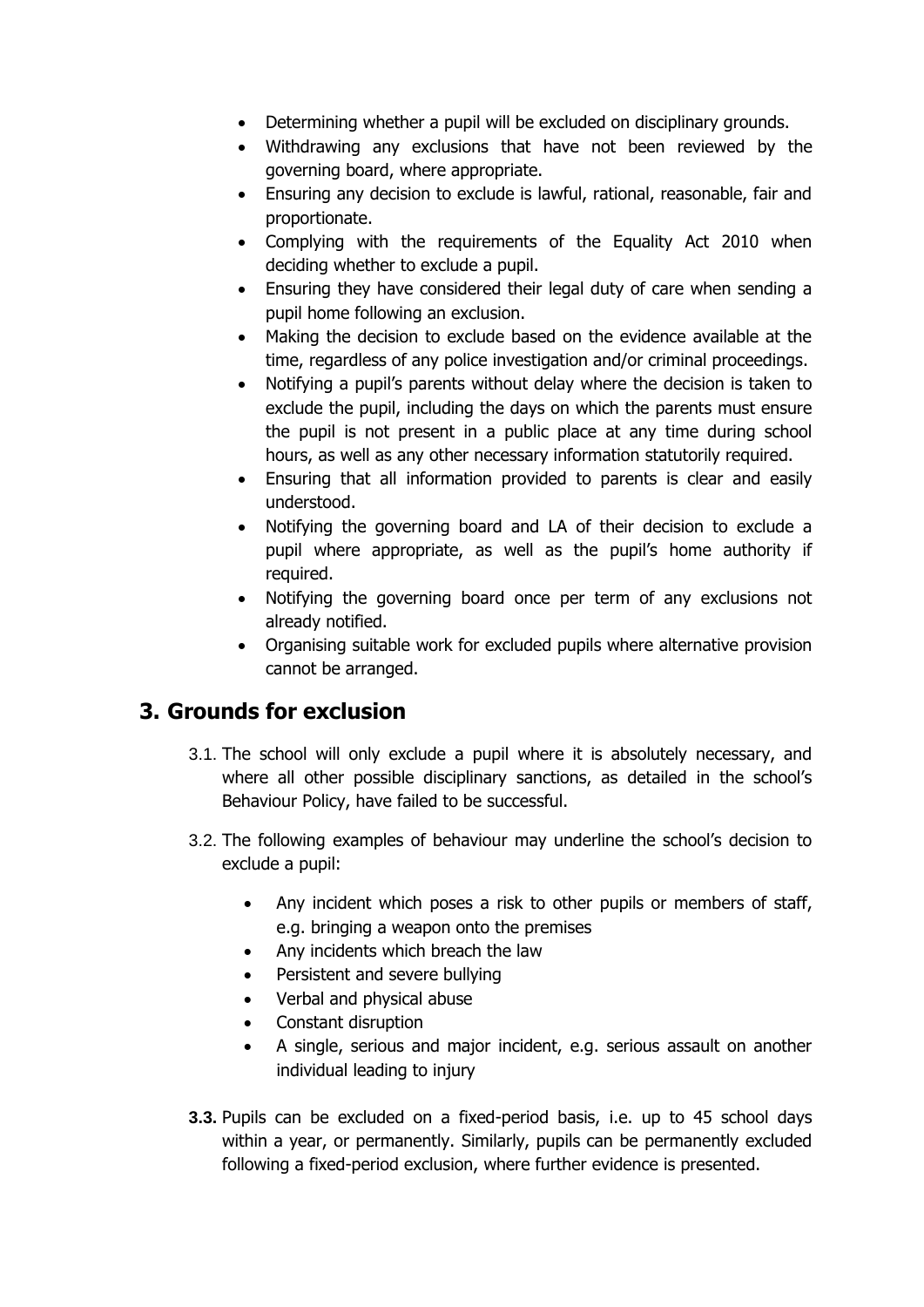- Determining whether a pupil will be excluded on disciplinary grounds.
- Withdrawing any exclusions that have not been reviewed by the governing board, where appropriate.
- Ensuring any decision to exclude is lawful, rational, reasonable, fair and proportionate.
- Complying with the requirements of the Equality Act 2010 when deciding whether to exclude a pupil.
- Ensuring they have considered their legal duty of care when sending a pupil home following an exclusion.
- Making the decision to exclude based on the evidence available at the time, regardless of any police investigation and/or criminal proceedings.
- Notifying a pupil's parents without delay where the decision is taken to exclude the pupil, including the days on which the parents must ensure the pupil is not present in a public place at any time during school hours, as well as any other necessary information statutorily required.
- Ensuring that all information provided to parents is clear and easily understood.
- Notifying the governing board and LA of their decision to exclude a pupil where appropriate, as well as the pupil's home authority if required.
- Notifying the governing board once per term of any exclusions not already notified.
- Organising suitable work for excluded pupils where alternative provision cannot be arranged.

#### <span id="page-6-0"></span>**3. Grounds for exclusion**

- 3.1. The school will only exclude a pupil where it is absolutely necessary, and where all other possible disciplinary sanctions, as detailed in the school's Behaviour Policy, have failed to be successful.
- 3.2. The following examples of behaviour may underline the school's decision to exclude a pupil:
	- Any incident which poses a risk to other pupils or members of staff, e.g. bringing a weapon onto the premises
	- Any incidents which breach the law
	- Persistent and severe bullying
	- Verbal and physical abuse
	- Constant disruption
	- A single, serious and major incident, e.g. serious assault on another individual leading to injury
- **3.3.** Pupils can be excluded on a fixed-period basis, i.e. up to 45 school days within a year, or permanently. Similarly, pupils can be permanently excluded following a fixed-period exclusion, where further evidence is presented.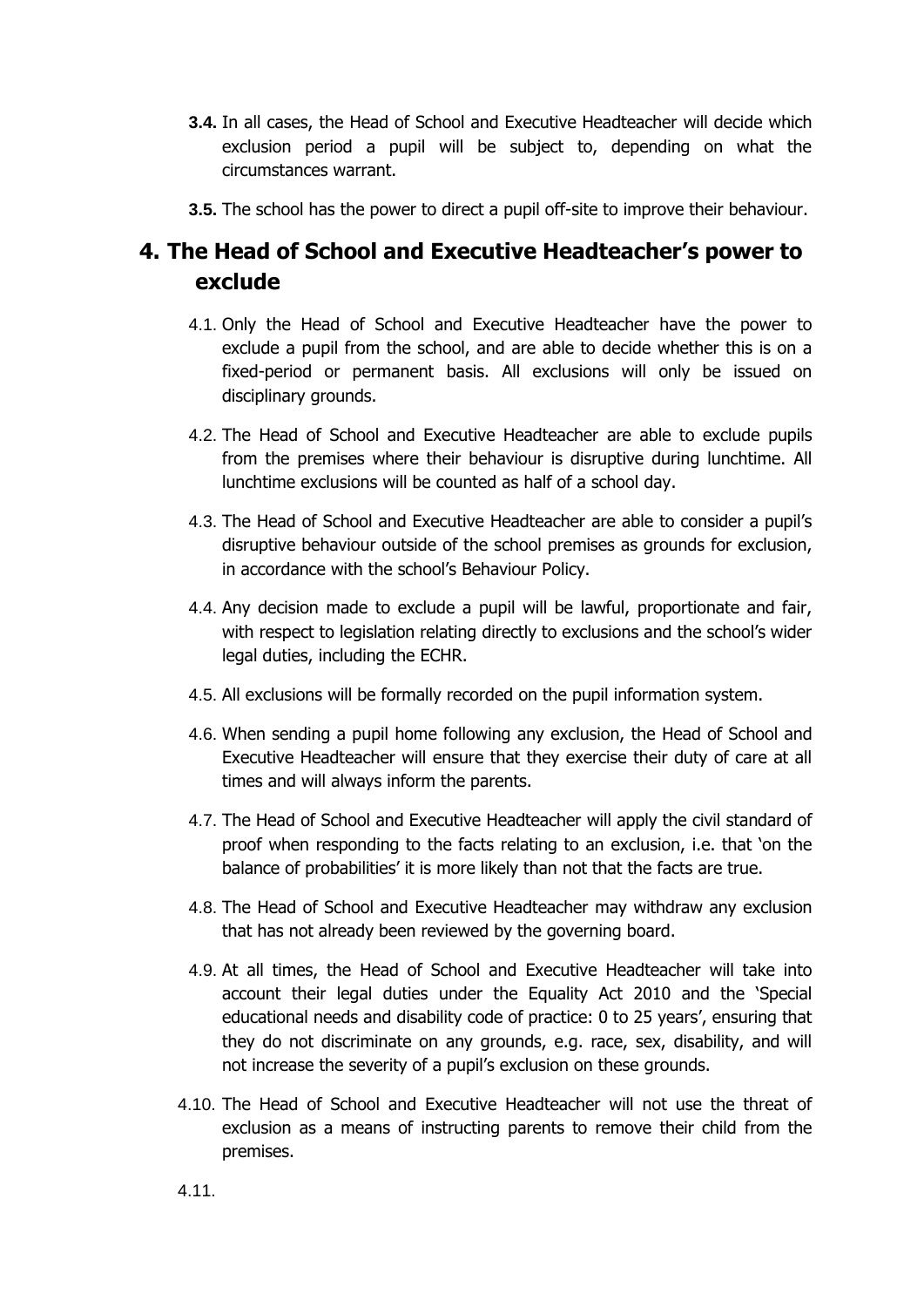- **3.4.** In all cases, the Head of School and Executive Headteacher will decide which exclusion period a pupil will be subject to, depending on what the circumstances warrant.
- **3.5.** The school has the power to direct a pupil off-site to improve their behaviour.

# <span id="page-7-0"></span>**4. The Head of School and Executive Headteacher's power to exclude**

- 4.1. Only the Head of School and Executive Headteacher have the power to exclude a pupil from the school, and are able to decide whether this is on a fixed-period or permanent basis. All exclusions will only be issued on disciplinary grounds.
- 4.2. The Head of School and Executive Headteacher are able to exclude pupils from the premises where their behaviour is disruptive during lunchtime. All lunchtime exclusions will be counted as half of a school day.
- 4.3. The Head of School and Executive Headteacher are able to consider a pupil's disruptive behaviour outside of the school premises as grounds for exclusion, in accordance with the school's Behaviour Policy.
- 4.4. Any decision made to exclude a pupil will be lawful, proportionate and fair, with respect to legislation relating directly to exclusions and the school's wider legal duties, including the ECHR.
- 4.5. All exclusions will be formally recorded on the pupil information system.
- 4.6. When sending a pupil home following any exclusion, the Head of School and Executive Headteacher will ensure that they exercise their duty of care at all times and will always inform the parents.
- 4.7. The Head of School and Executive Headteacher will apply the civil standard of proof when responding to the facts relating to an exclusion, i.e. that 'on the balance of probabilities' it is more likely than not that the facts are true.
- 4.8. The Head of School and Executive Headteacher may withdraw any exclusion that has not already been reviewed by the governing board.
- 4.9. At all times, the Head of School and Executive Headteacher will take into account their legal duties under the Equality Act 2010 and the 'Special educational needs and disability code of practice: 0 to 25 years', ensuring that they do not discriminate on any grounds, e.g. race, sex, disability, and will not increase the severity of a pupil's exclusion on these grounds.
- 4.10. The Head of School and Executive Headteacher will not use the threat of exclusion as a means of instructing parents to remove their child from the premises.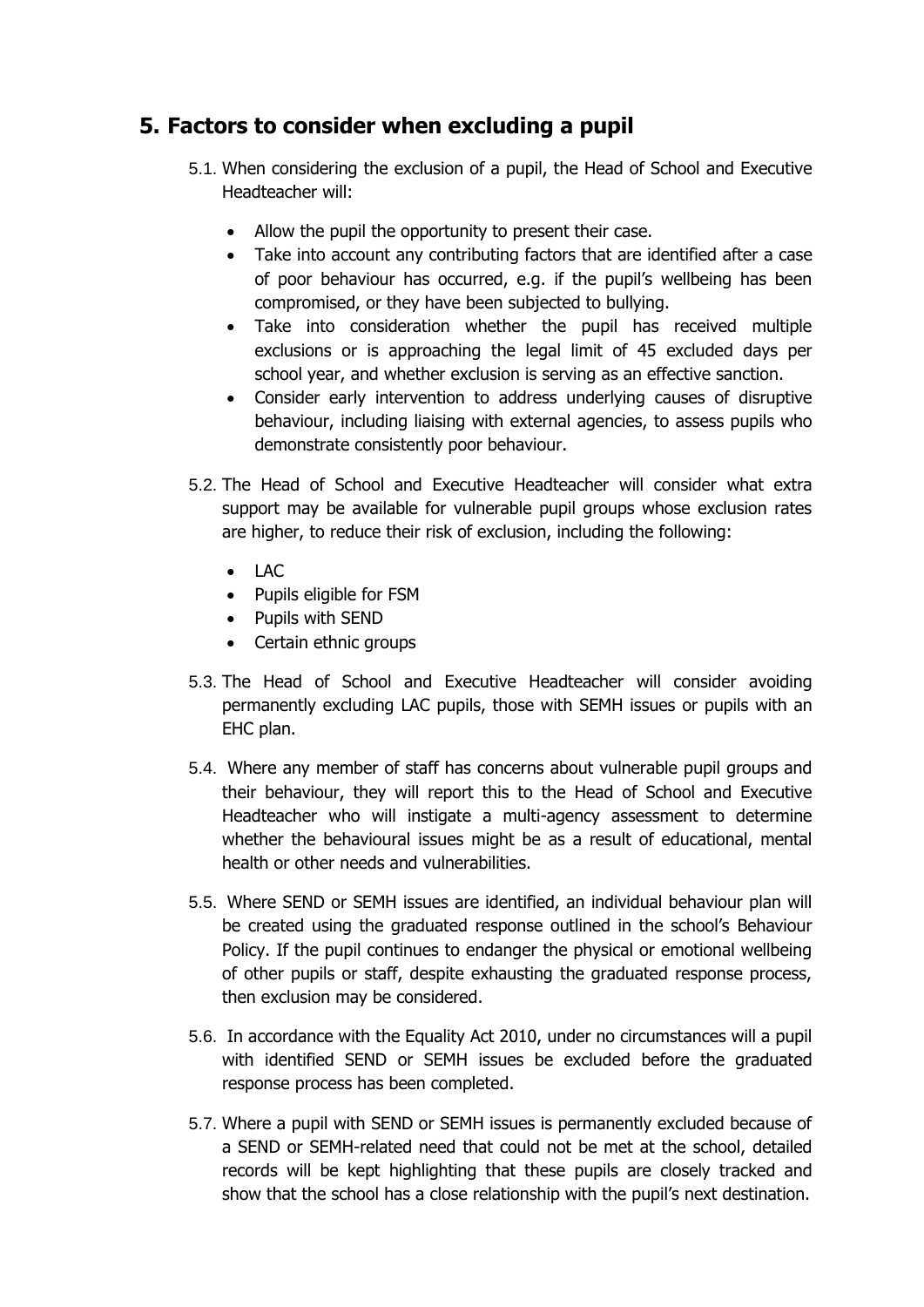#### <span id="page-8-0"></span>**5. Factors to consider when excluding a pupil**

- 5.1. When considering the exclusion of a pupil, the Head of School and Executive Headteacher will:
	- Allow the pupil the opportunity to present their case.
	- Take into account any contributing factors that are identified after a case of poor behaviour has occurred, e.g. if the pupil's wellbeing has been compromised, or they have been subjected to bullying.
	- Take into consideration whether the pupil has received multiple exclusions or is approaching the legal limit of 45 excluded days per school year, and whether exclusion is serving as an effective sanction.
	- Consider early intervention to address underlying causes of disruptive behaviour, including liaising with external agencies, to assess pupils who demonstrate consistently poor behaviour.
- 5.2. The Head of School and Executive Headteacher will consider what extra support may be available for vulnerable pupil groups whose exclusion rates are higher, to reduce their risk of exclusion, including the following:
	- LAC
	- Pupils eligible for FSM
	- Pupils with SEND
	- Certain ethnic groups
- 5.3. The Head of School and Executive Headteacher will consider avoiding permanently excluding LAC pupils, those with SEMH issues or pupils with an EHC plan.
- 5.4. Where any member of staff has concerns about vulnerable pupil groups and their behaviour, they will report this to the Head of School and Executive Headteacher who will instigate a multi-agency assessment to determine whether the behavioural issues might be as a result of educational, mental health or other needs and vulnerabilities.
- 5.5. Where SEND or SEMH issues are identified, an individual behaviour plan will be created using the graduated response outlined in the school's Behaviour Policy. If the pupil continues to endanger the physical or emotional wellbeing of other pupils or staff, despite exhausting the graduated response process, then exclusion may be considered.
- 5.6. In accordance with the Equality Act 2010, under no circumstances will a pupil with identified SEND or SEMH issues be excluded before the graduated response process has been completed.
- 5.7. Where a pupil with SEND or SEMH issues is permanently excluded because of a SEND or SEMH-related need that could not be met at the school, detailed records will be kept highlighting that these pupils are closely tracked and show that the school has a close relationship with the pupil's next destination.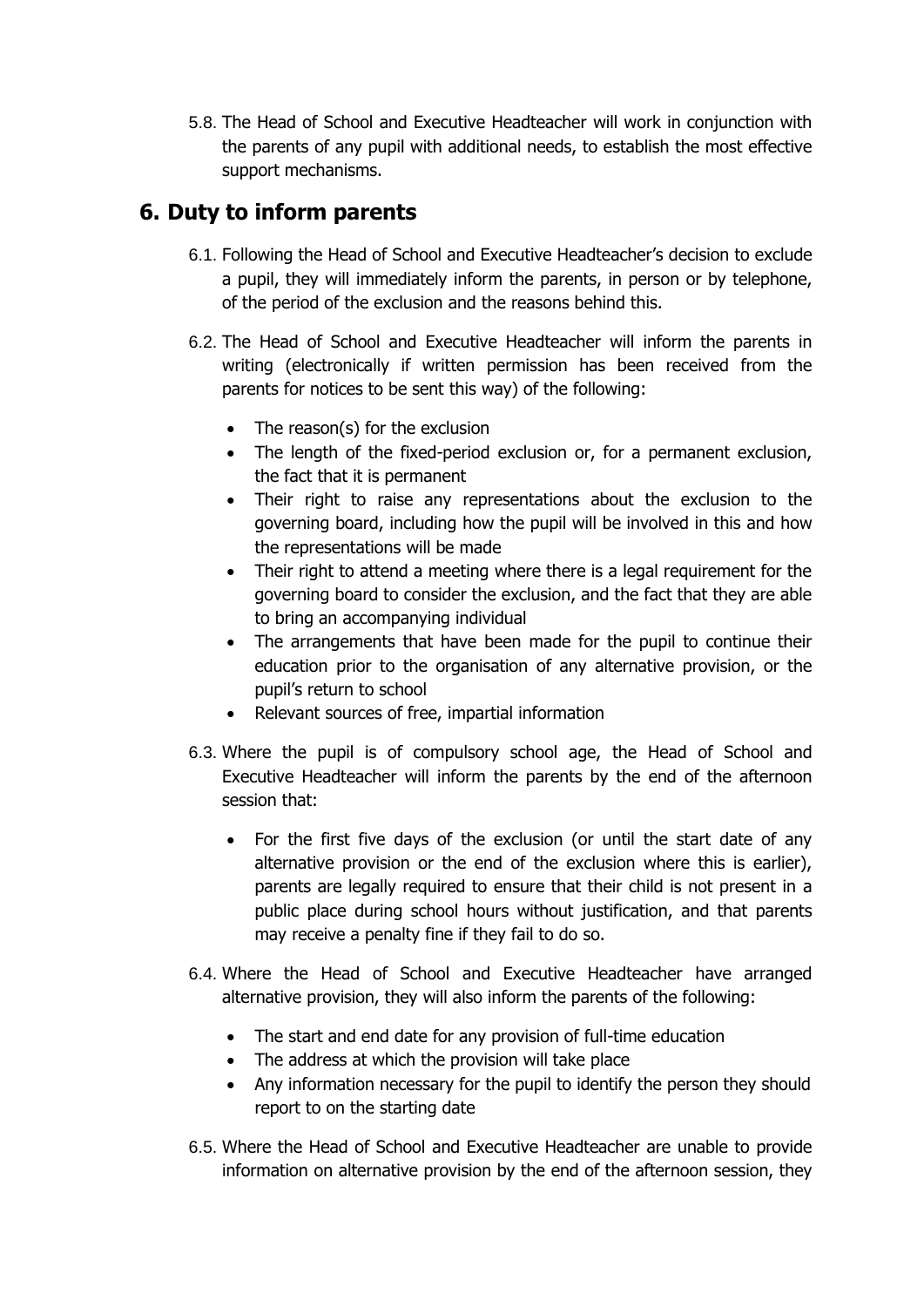5.8. The Head of School and Executive Headteacher will work in conjunction with the parents of any pupil with additional needs, to establish the most effective support mechanisms.

#### <span id="page-9-0"></span>**6. Duty to inform parents**

- 6.1. Following the Head of School and Executive Headteacher's decision to exclude a pupil, they will immediately inform the parents, in person or by telephone, of the period of the exclusion and the reasons behind this.
- 6.2. The Head of School and Executive Headteacher will inform the parents in writing (electronically if written permission has been received from the parents for notices to be sent this way) of the following:
	- The reason(s) for the exclusion
	- The length of the fixed-period exclusion or, for a permanent exclusion, the fact that it is permanent
	- Their right to raise any representations about the exclusion to the governing board, including how the pupil will be involved in this and how the representations will be made
	- Their right to attend a meeting where there is a legal requirement for the governing board to consider the exclusion, and the fact that they are able to bring an accompanying individual
	- The arrangements that have been made for the pupil to continue their education prior to the organisation of any alternative provision, or the pupil's return to school
	- Relevant sources of free, impartial information
- 6.3. Where the pupil is of compulsory school age, the Head of School and Executive Headteacher will inform the parents by the end of the afternoon session that:
	- For the first five days of the exclusion (or until the start date of any alternative provision or the end of the exclusion where this is earlier), parents are legally required to ensure that their child is not present in a public place during school hours without justification, and that parents may receive a penalty fine if they fail to do so.
- 6.4. Where the Head of School and Executive Headteacher have arranged alternative provision, they will also inform the parents of the following:
	- The start and end date for any provision of full-time education
	- The address at which the provision will take place
	- Any information necessary for the pupil to identify the person they should report to on the starting date
- 6.5. Where the Head of School and Executive Headteacher are unable to provide information on alternative provision by the end of the afternoon session, they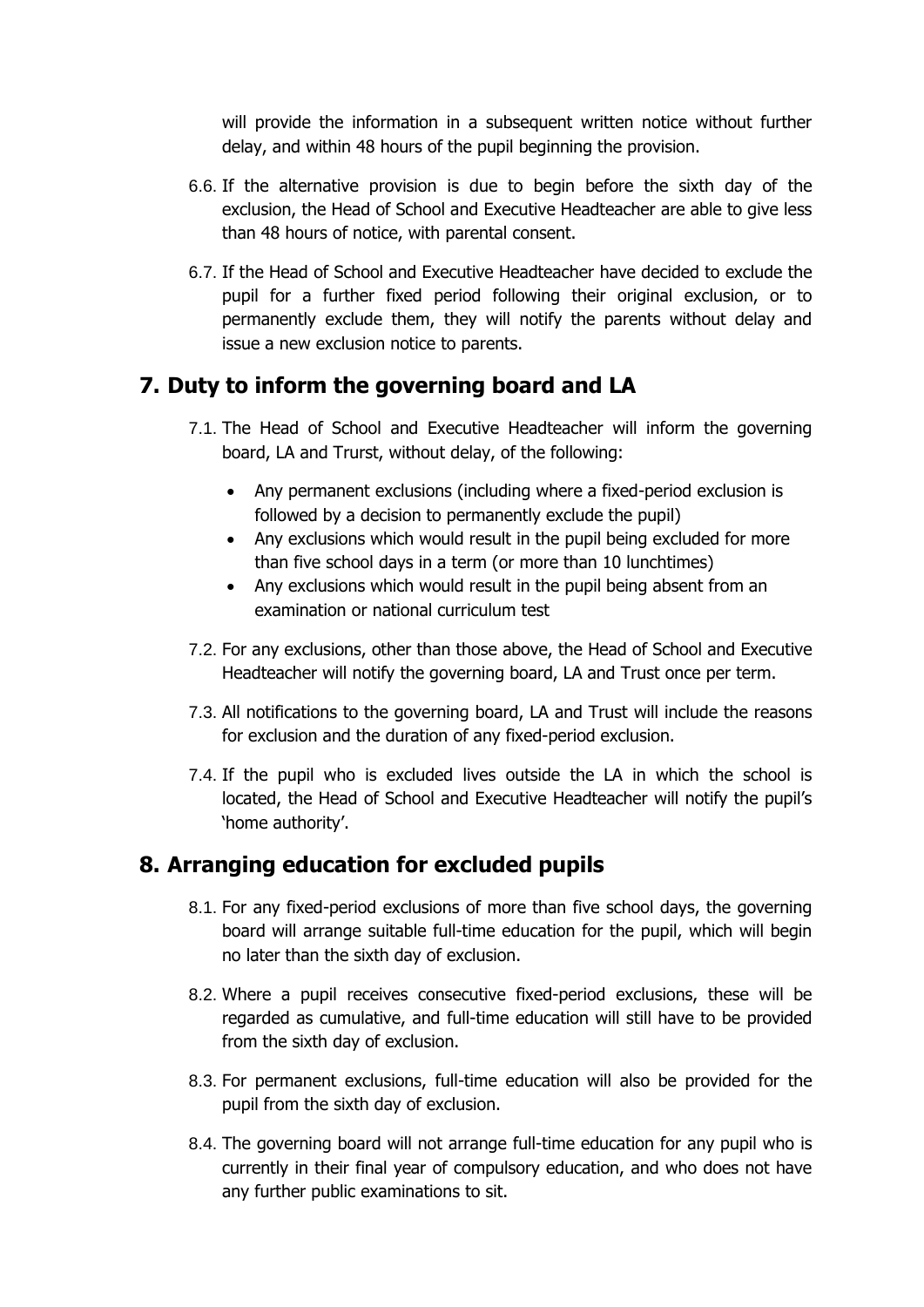will provide the information in a subsequent written notice without further delay, and within 48 hours of the pupil beginning the provision.

- 6.6. If the alternative provision is due to begin before the sixth day of the exclusion, the Head of School and Executive Headteacher are able to give less than 48 hours of notice, with parental consent.
- 6.7. If the Head of School and Executive Headteacher have decided to exclude the pupil for a further fixed period following their original exclusion, or to permanently exclude them, they will notify the parents without delay and issue a new exclusion notice to parents.

#### <span id="page-10-0"></span>**7. Duty to inform the governing board and LA**

- 7.1. The Head of School and Executive Headteacher will inform the governing board, LA and Trurst, without delay, of the following:
	- Any permanent exclusions (including where a fixed-period exclusion is followed by a decision to permanently exclude the pupil)
	- Any exclusions which would result in the pupil being excluded for more than five school days in a term (or more than 10 lunchtimes)
	- Any exclusions which would result in the pupil being absent from an examination or national curriculum test
- 7.2. For any exclusions, other than those above, the Head of School and Executive Headteacher will notify the governing board, LA and Trust once per term.
- 7.3. All notifications to the governing board, LA and Trust will include the reasons for exclusion and the duration of any fixed-period exclusion.
- 7.4. If the pupil who is excluded lives outside the LA in which the school is located, the Head of School and Executive Headteacher will notify the pupil's 'home authority'.

#### <span id="page-10-1"></span>**8. Arranging education for excluded pupils**

- 8.1. For any fixed-period exclusions of more than five school days, the governing board will arrange suitable full-time education for the pupil, which will begin no later than the sixth day of exclusion.
- 8.2. Where a pupil receives consecutive fixed-period exclusions, these will be regarded as cumulative, and full-time education will still have to be provided from the sixth day of exclusion.
- 8.3. For permanent exclusions, full-time education will also be provided for the pupil from the sixth day of exclusion.
- 8.4. The governing board will not arrange full-time education for any pupil who is currently in their final year of compulsory education, and who does not have any further public examinations to sit.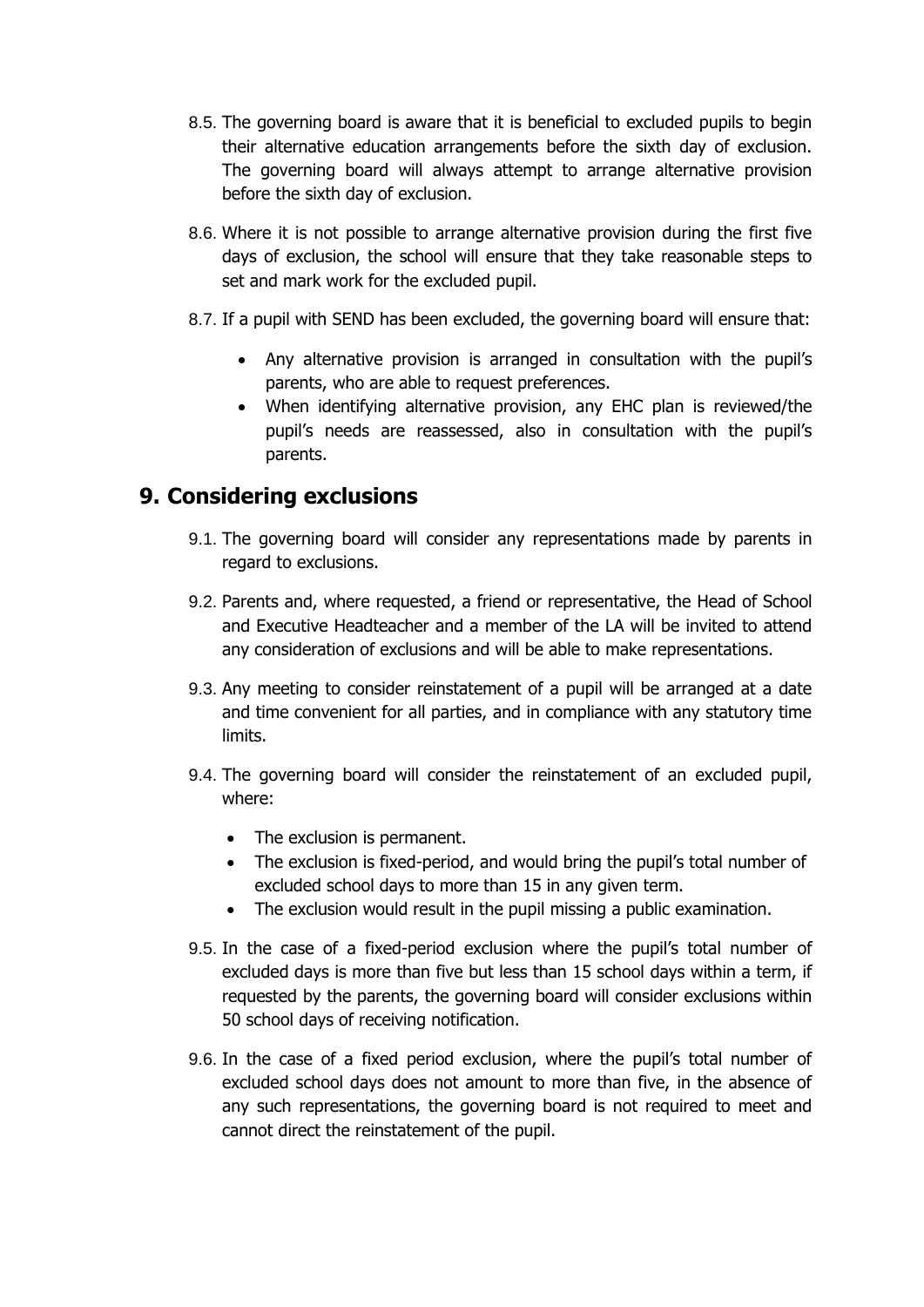- 8.5. The governing board is aware that it is beneficial to excluded pupils to begin their alternative education arrangements before the sixth day of exclusion. The governing board will always attempt to arrange alternative provision before the sixth day of exclusion.
- 8.6. Where it is not possible to arrange alternative provision during the first five days of exclusion, the school will ensure that they take reasonable steps to set and mark work for the excluded pupil.
- 8.7. If a pupil with SEND has been excluded, the governing board will ensure that:
	- Any alternative provision is arranged in consultation with the pupil's parents, who are able to request preferences.
	- When identifying alternative provision, any EHC plan is reviewed/the pupil's needs are reassessed, also in consultation with the pupil's parents.

#### <span id="page-11-0"></span>**9. Considering exclusions**

- 9.1. The governing board will consider any representations made by parents in regard to exclusions.
- 9.2. Parents and, where requested, a friend or representative, the Head of School and Executive Headteacher and a member of the LA will be invited to attend any consideration of exclusions and will be able to make representations.
- 9.3. Any meeting to consider reinstatement of a pupil will be arranged at a date and time convenient for all parties, and in compliance with any statutory time limits.
- 9.4. The governing board will consider the reinstatement of an excluded pupil, where:
	- The exclusion is permanent.
	- The exclusion is fixed-period, and would bring the pupil's total number of excluded school days to more than 15 in any given term.
	- The exclusion would result in the pupil missing a public examination.
- 9.5. In the case of a fixed-period exclusion where the pupil's total number of excluded days is more than five but less than 15 school days within a term, if requested by the parents, the governing board will consider exclusions within 50 school days of receiving notification.
- 9.6. In the case of a fixed period exclusion, where the pupil's total number of excluded school days does not amount to more than five, in the absence of any such representations, the governing board is not required to meet and cannot direct the reinstatement of the pupil.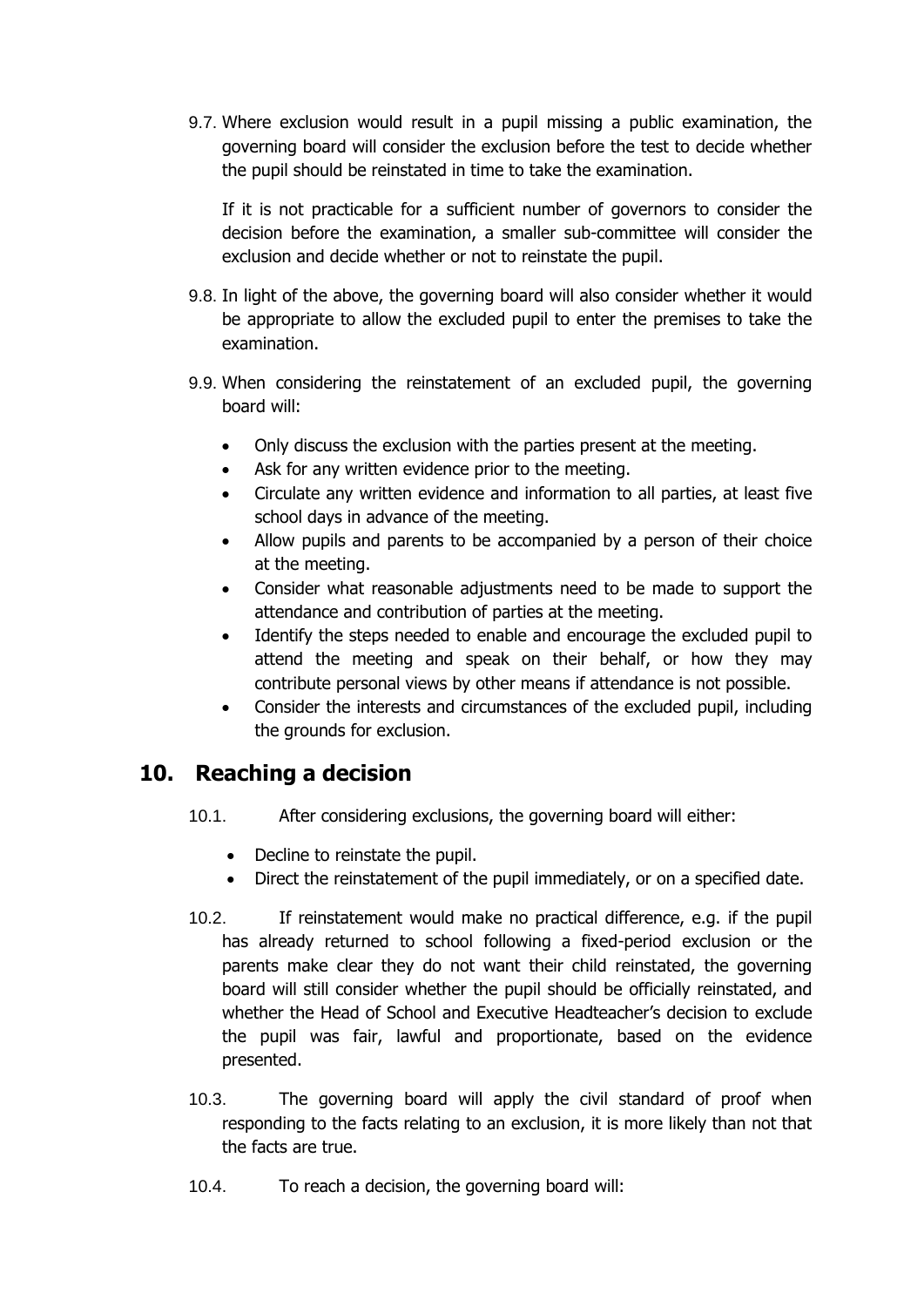9.7. Where exclusion would result in a pupil missing a public examination, the governing board will consider the exclusion before the test to decide whether the pupil should be reinstated in time to take the examination.

If it is not practicable for a sufficient number of governors to consider the decision before the examination, a smaller sub-committee will consider the exclusion and decide whether or not to reinstate the pupil.

- 9.8. In light of the above, the governing board will also consider whether it would be appropriate to allow the excluded pupil to enter the premises to take the examination.
- 9.9. When considering the reinstatement of an excluded pupil, the governing board will:
	- Only discuss the exclusion with the parties present at the meeting.
	- Ask for any written evidence prior to the meeting.
	- Circulate any written evidence and information to all parties, at least five school days in advance of the meeting.
	- Allow pupils and parents to be accompanied by a person of their choice at the meeting.
	- Consider what reasonable adjustments need to be made to support the attendance and contribution of parties at the meeting.
	- Identify the steps needed to enable and encourage the excluded pupil to attend the meeting and speak on their behalf, or how they may contribute personal views by other means if attendance is not possible.
	- Consider the interests and circumstances of the excluded pupil, including the grounds for exclusion.

#### <span id="page-12-0"></span>**10. Reaching a decision**

- 10.1. After considering exclusions, the governing board will either:
	- Decline to reinstate the pupil.
	- Direct the reinstatement of the pupil immediately, or on a specified date.
- 10.2. If reinstatement would make no practical difference, e.g. if the pupil has already returned to school following a fixed-period exclusion or the parents make clear they do not want their child reinstated, the governing board will still consider whether the pupil should be officially reinstated, and whether the Head of School and Executive Headteacher's decision to exclude the pupil was fair, lawful and proportionate, based on the evidence presented.
- 10.3. The governing board will apply the civil standard of proof when responding to the facts relating to an exclusion, it is more likely than not that the facts are true.
- 10.4. To reach a decision, the governing board will: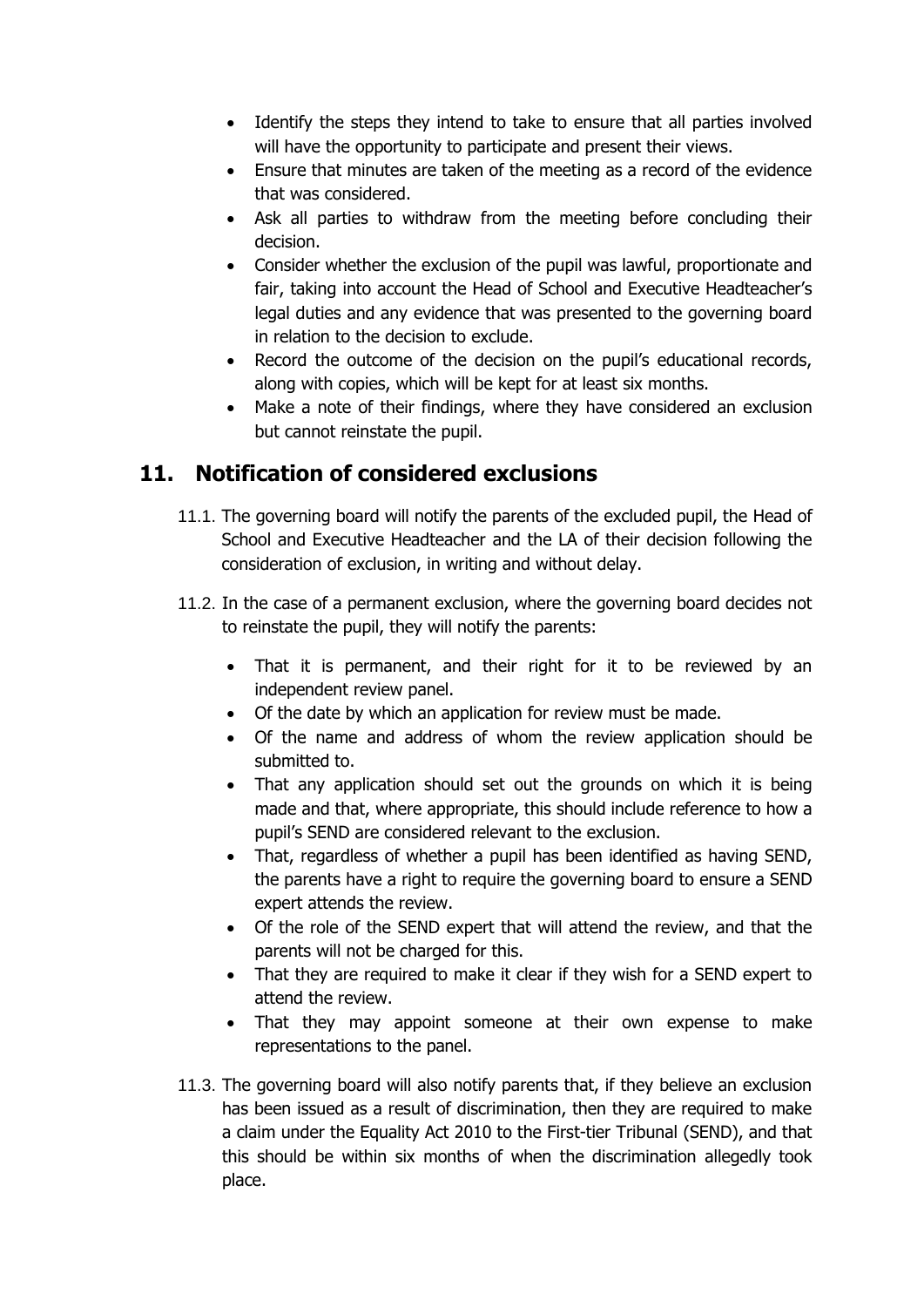- Identify the steps they intend to take to ensure that all parties involved will have the opportunity to participate and present their views.
- Ensure that minutes are taken of the meeting as a record of the evidence that was considered.
- Ask all parties to withdraw from the meeting before concluding their decision.
- Consider whether the exclusion of the pupil was lawful, proportionate and fair, taking into account the Head of School and Executive Headteacher's legal duties and any evidence that was presented to the governing board in relation to the decision to exclude.
- Record the outcome of the decision on the pupil's educational records, along with copies, which will be kept for at least six months.
- Make a note of their findings, where they have considered an exclusion but cannot reinstate the pupil.

# <span id="page-13-0"></span>**11. Notification of considered exclusions**

- 11.1. The governing board will notify the parents of the excluded pupil, the Head of School and Executive Headteacher and the LA of their decision following the consideration of exclusion, in writing and without delay.
- 11.2. In the case of a permanent exclusion, where the governing board decides not to reinstate the pupil, they will notify the parents:
	- That it is permanent, and their right for it to be reviewed by an independent review panel.
	- Of the date by which an application for review must be made.
	- Of the name and address of whom the review application should be submitted to.
	- That any application should set out the grounds on which it is being made and that, where appropriate, this should include reference to how a pupil's SEND are considered relevant to the exclusion.
	- That, regardless of whether a pupil has been identified as having SEND, the parents have a right to require the governing board to ensure a SEND expert attends the review.
	- Of the role of the SEND expert that will attend the review, and that the parents will not be charged for this.
	- That they are required to make it clear if they wish for a SEND expert to attend the review.
	- That they may appoint someone at their own expense to make representations to the panel.
- 11.3. The governing board will also notify parents that, if they believe an exclusion has been issued as a result of discrimination, then they are required to make a claim under the Equality Act 2010 to the First-tier Tribunal (SEND), and that this should be within six months of when the discrimination allegedly took place.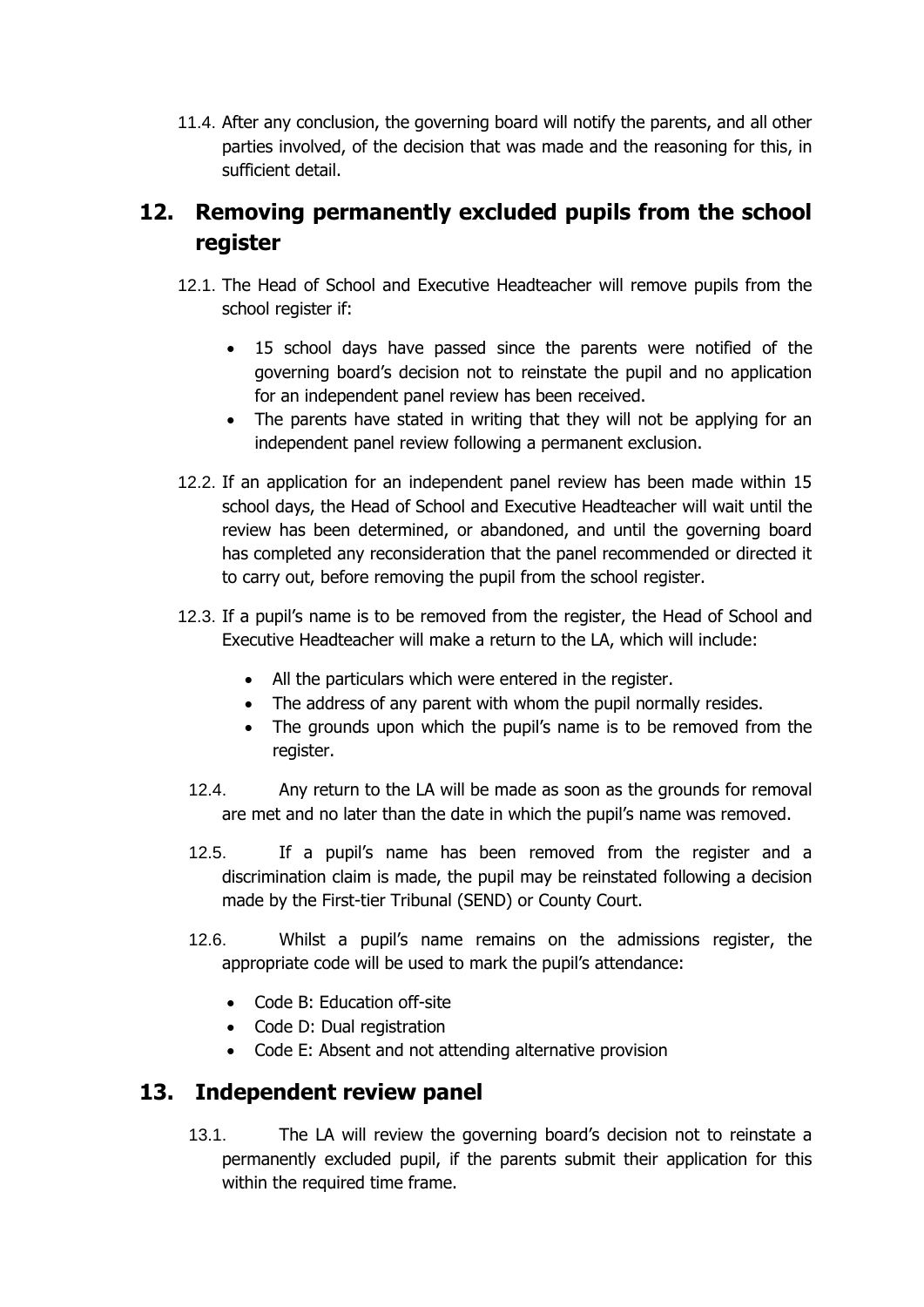11.4. After any conclusion, the governing board will notify the parents, and all other parties involved, of the decision that was made and the reasoning for this, in sufficient detail.

# <span id="page-14-0"></span>**12. Removing permanently excluded pupils from the school register**

- 12.1. The Head of School and Executive Headteacher will remove pupils from the school register if:
	- 15 school days have passed since the parents were notified of the governing board's decision not to reinstate the pupil and no application for an independent panel review has been received.
	- The parents have stated in writing that they will not be applying for an independent panel review following a permanent exclusion.
- 12.2. If an application for an independent panel review has been made within 15 school days, the Head of School and Executive Headteacher will wait until the review has been determined, or abandoned, and until the governing board has completed any reconsideration that the panel recommended or directed it to carry out, before removing the pupil from the school register.
- 12.3. If a pupil's name is to be removed from the register, the Head of School and Executive Headteacher will make a return to the LA, which will include:
	- All the particulars which were entered in the register.
	- The address of any parent with whom the pupil normally resides.
	- The grounds upon which the pupil's name is to be removed from the register.
	- 12.4. Any return to the LA will be made as soon as the grounds for removal are met and no later than the date in which the pupil's name was removed.
	- 12.5. If a pupil's name has been removed from the register and a discrimination claim is made, the pupil may be reinstated following a decision made by the First-tier Tribunal (SEND) or County Court.
	- 12.6. Whilst a pupil's name remains on the admissions register, the appropriate code will be used to mark the pupil's attendance:
		- Code B: Education off-site
		- Code D: Dual registration
		- Code E: Absent and not attending alternative provision

#### <span id="page-14-1"></span>**13. Independent review panel**

13.1. The LA will review the governing board's decision not to reinstate a permanently excluded pupil, if the parents submit their application for this within the required time frame.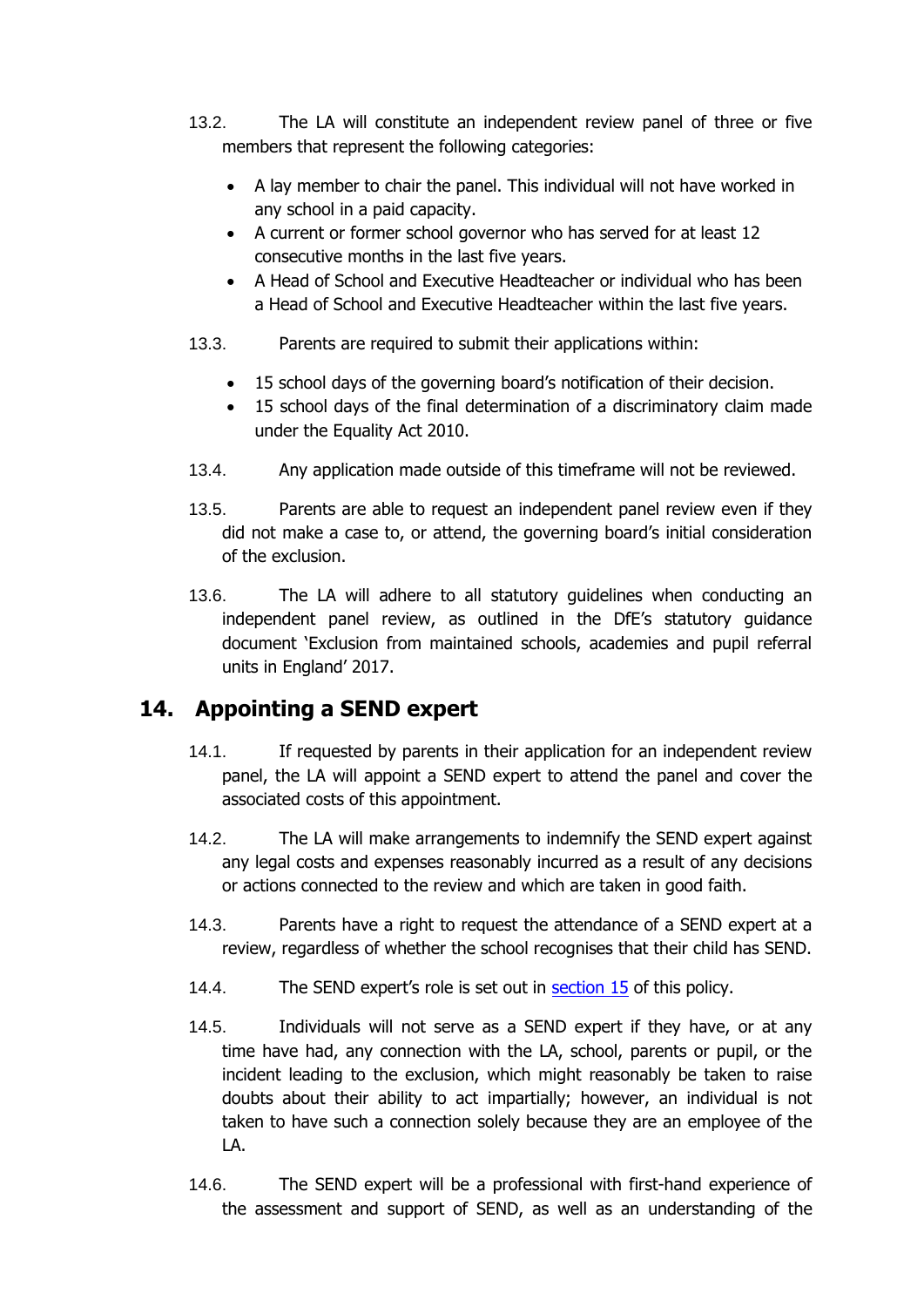- 13.2. The LA will constitute an independent review panel of three or five members that represent the following categories:
	- A lay member to chair the panel. This individual will not have worked in any school in a paid capacity.
	- A current or former school governor who has served for at least 12 consecutive months in the last five years.
	- A Head of School and Executive Headteacher or individual who has been a Head of School and Executive Headteacher within the last five years.
- 13.3. Parents are required to submit their applications within:
	- 15 school days of the governing board's notification of their decision.
	- 15 school days of the final determination of a discriminatory claim made under the Equality Act 2010.
- 13.4. Any application made outside of this timeframe will not be reviewed.
- 13.5. Parents are able to request an independent panel review even if they did not make a case to, or attend, the governing board's initial consideration of the exclusion.
- 13.6. The LA will adhere to all statutory guidelines when conducting an independent panel review, as outlined in the DfE's statutory guidance document 'Exclusion from maintained schools, academies and pupil referral units in England' 2017.

#### <span id="page-15-0"></span>**14. Appointing a SEND expert**

- 14.1. If requested by parents in their application for an independent review panel, the LA will appoint a SEND expert to attend the panel and cover the associated costs of this appointment.
- 14.2. The LA will make arrangements to indemnify the SEND expert against any legal costs and expenses reasonably incurred as a result of any decisions or actions connected to the review and which are taken in good faith.
- 14.3. Parents have a right to request the attendance of a SEND expert at a review, regardless of whether the school recognises that their child has SEND.
- 14.4. The SEND expert's role is set out in [section 15](#page-16-0) of this policy.
- 14.5. Individuals will not serve as a SEND expert if they have, or at any time have had, any connection with the LA, school, parents or pupil, or the incident leading to the exclusion, which might reasonably be taken to raise doubts about their ability to act impartially; however, an individual is not taken to have such a connection solely because they are an employee of the LA.
- 14.6. The SEND expert will be a professional with first-hand experience of the assessment and support of SEND, as well as an understanding of the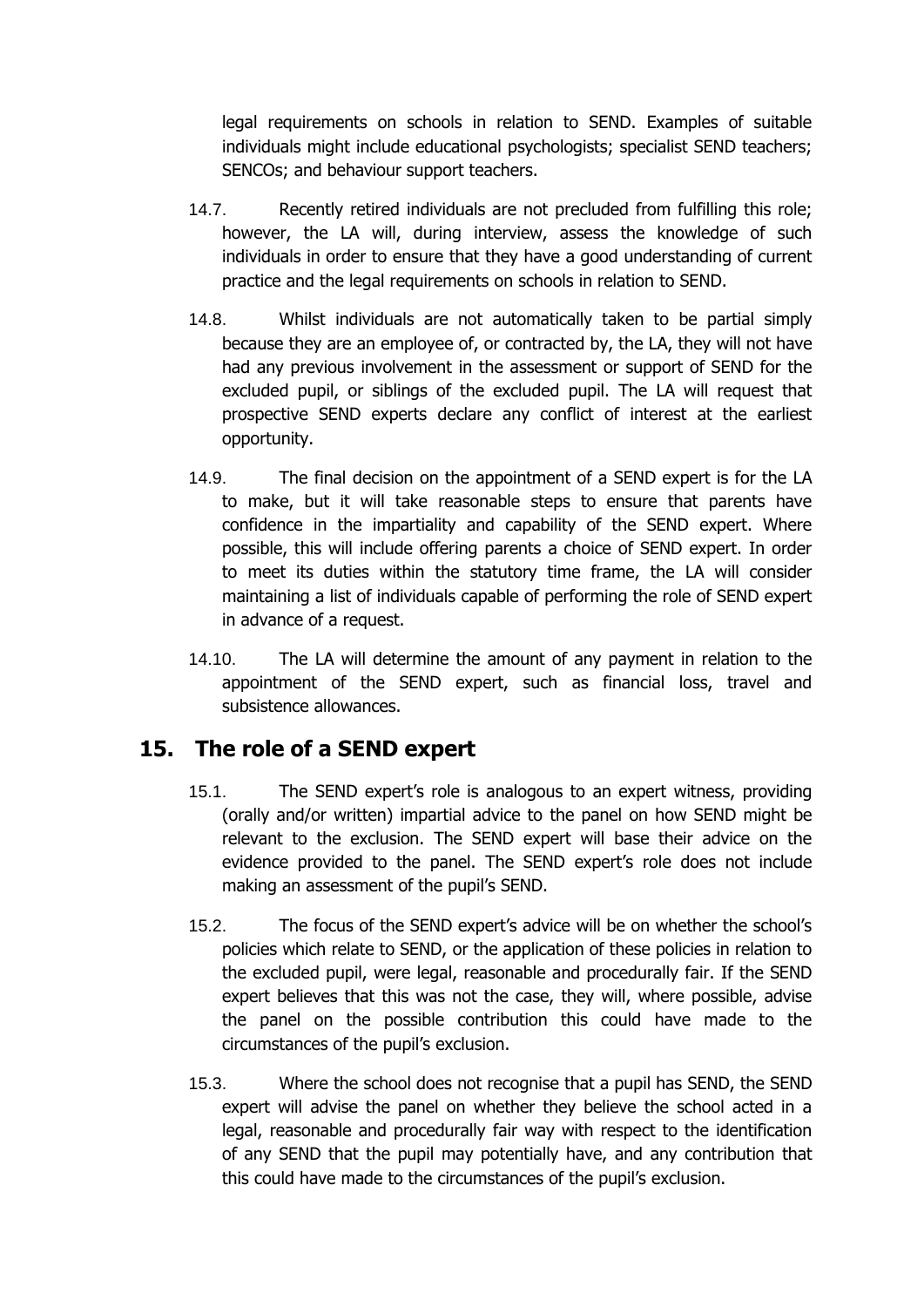legal requirements on schools in relation to SEND. Examples of suitable individuals might include educational psychologists; specialist SEND teachers; SENCOs; and behaviour support teachers.

- 14.7. Recently retired individuals are not precluded from fulfilling this role; however, the LA will, during interview, assess the knowledge of such individuals in order to ensure that they have a good understanding of current practice and the legal requirements on schools in relation to SEND.
- 14.8. Whilst individuals are not automatically taken to be partial simply because they are an employee of, or contracted by, the LA, they will not have had any previous involvement in the assessment or support of SEND for the excluded pupil, or siblings of the excluded pupil. The LA will request that prospective SEND experts declare any conflict of interest at the earliest opportunity.
- 14.9. The final decision on the appointment of a SEND expert is for the LA to make, but it will take reasonable steps to ensure that parents have confidence in the impartiality and capability of the SEND expert. Where possible, this will include offering parents a choice of SEND expert. In order to meet its duties within the statutory time frame, the LA will consider maintaining a list of individuals capable of performing the role of SEND expert in advance of a request.
- 14.10. The LA will determine the amount of any payment in relation to the appointment of the SEND expert, such as financial loss, travel and subsistence allowances.

#### <span id="page-16-0"></span>**15. The role of a SEND expert**

- 15.1. The SEND expert's role is analogous to an expert witness, providing (orally and/or written) impartial advice to the panel on how SEND might be relevant to the exclusion. The SEND expert will base their advice on the evidence provided to the panel. The SEND expert's role does not include making an assessment of the pupil's SEND.
- 15.2. The focus of the SEND expert's advice will be on whether the school's policies which relate to SEND, or the application of these policies in relation to the excluded pupil, were legal, reasonable and procedurally fair. If the SEND expert believes that this was not the case, they will, where possible, advise the panel on the possible contribution this could have made to the circumstances of the pupil's exclusion.
- 15.3. Where the school does not recognise that a pupil has SEND, the SEND expert will advise the panel on whether they believe the school acted in a legal, reasonable and procedurally fair way with respect to the identification of any SEND that the pupil may potentially have, and any contribution that this could have made to the circumstances of the pupil's exclusion.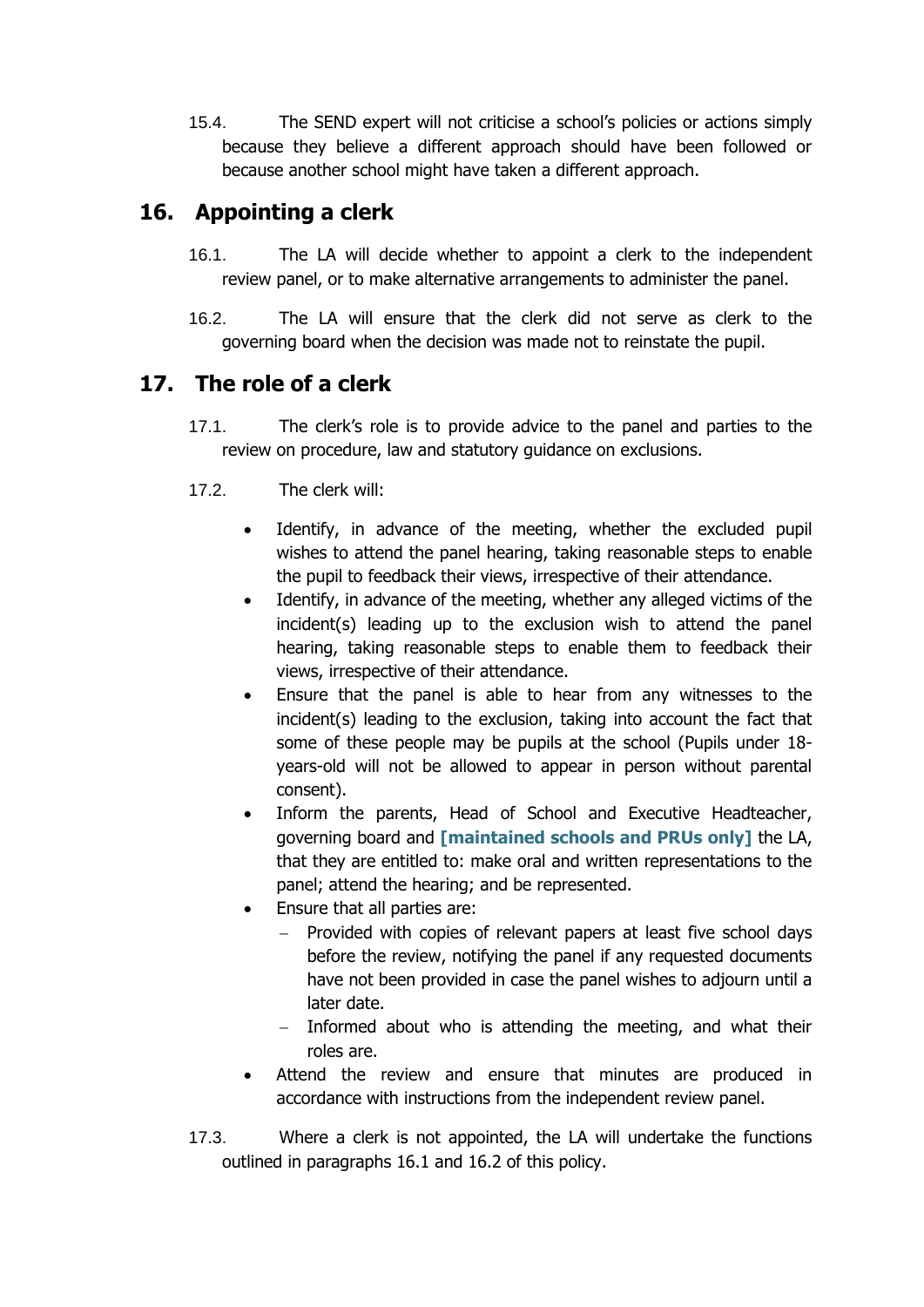15.4. The SEND expert will not criticise a school's policies or actions simply because they believe a different approach should have been followed or because another school might have taken a different approach.

#### <span id="page-17-0"></span>**16. Appointing a clerk**

- 16.1. The LA will decide whether to appoint a clerk to the independent review panel, or to make alternative arrangements to administer the panel.
- 16.2. The LA will ensure that the clerk did not serve as clerk to the governing board when the decision was made not to reinstate the pupil.

#### <span id="page-17-1"></span>**17. The role of a clerk**

- 17.1. The clerk's role is to provide advice to the panel and parties to the review on procedure, law and statutory guidance on exclusions.
- 17.2. The clerk will:
	- Identify, in advance of the meeting, whether the excluded pupil wishes to attend the panel hearing, taking reasonable steps to enable the pupil to feedback their views, irrespective of their attendance.
	- Identify, in advance of the meeting, whether any alleged victims of the incident(s) leading up to the exclusion wish to attend the panel hearing, taking reasonable steps to enable them to feedback their views, irrespective of their attendance.
	- Ensure that the panel is able to hear from any witnesses to the incident(s) leading to the exclusion, taking into account the fact that some of these people may be pupils at the school (Pupils under 18 years-old will not be allowed to appear in person without parental consent).
	- Inform the parents, Head of School and Executive Headteacher, governing board and **[maintained schools and PRUs only]** the LA, that they are entitled to: make oral and written representations to the panel; attend the hearing; and be represented.
	- Ensure that all parties are:
		- − Provided with copies of relevant papers at least five school days before the review, notifying the panel if any requested documents have not been provided in case the panel wishes to adjourn until a later date.
		- Informed about who is attending the meeting, and what their roles are.
	- Attend the review and ensure that minutes are produced in accordance with instructions from the independent review panel.
- 17.3. Where a clerk is not appointed, the LA will undertake the functions outlined in paragraphs 16.1 and 16.2 of this policy.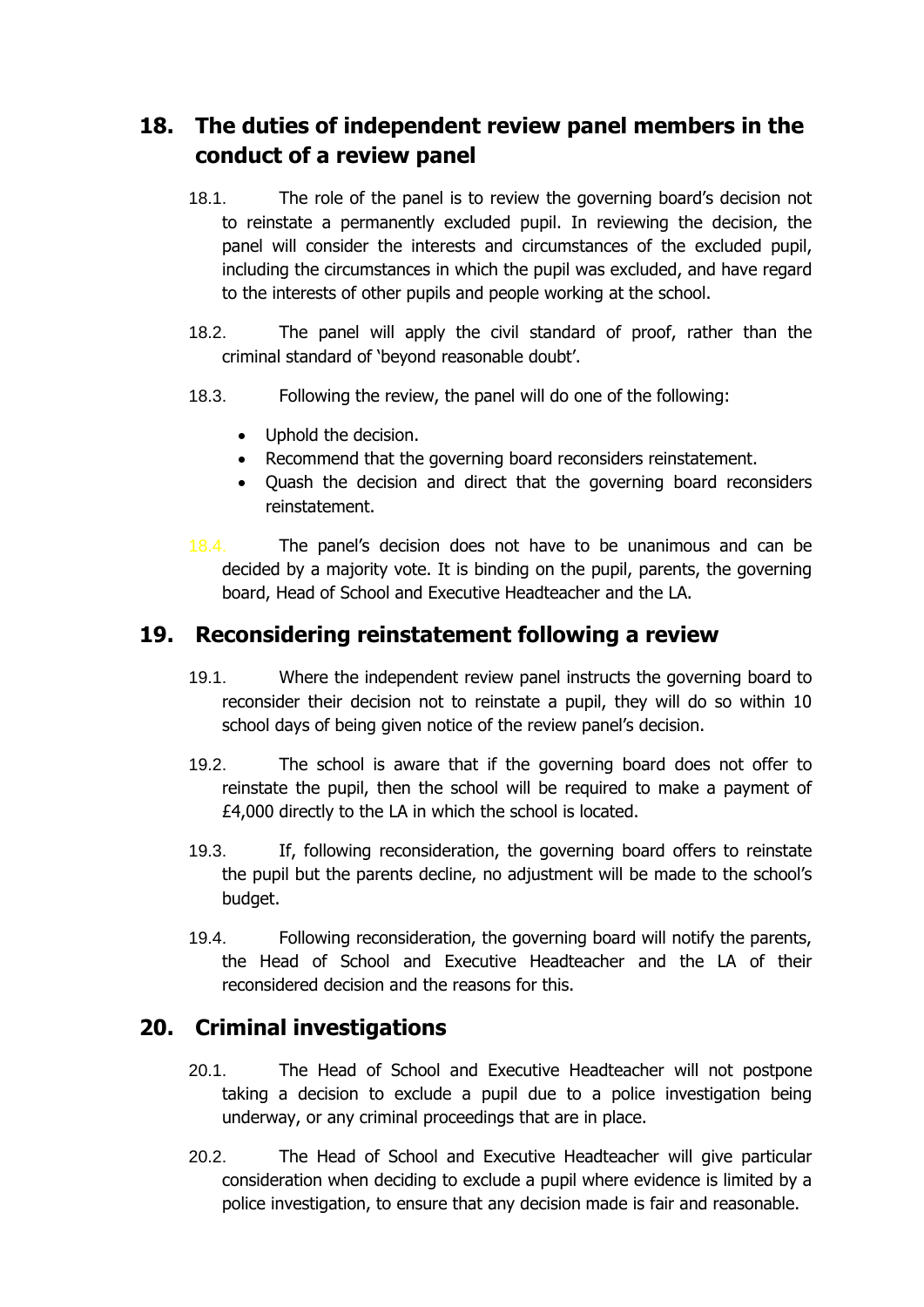# <span id="page-18-0"></span>**18. The duties of independent review panel members in the conduct of a review panel**

- 18.1. The role of the panel is to review the governing board's decision not to reinstate a permanently excluded pupil. In reviewing the decision, the panel will consider the interests and circumstances of the excluded pupil, including the circumstances in which the pupil was excluded, and have regard to the interests of other pupils and people working at the school.
- 18.2. The panel will apply the civil standard of proof, rather than the criminal standard of 'beyond reasonable doubt'.
- 18.3. Following the review, the panel will do one of the following:
	- Uphold the decision.
	- Recommend that the governing board reconsiders reinstatement.
	- Quash the decision and direct that the governing board reconsiders reinstatement.
- 18.4. The panel's decision does not have to be unanimous and can be decided by a majority vote. It is binding on the pupil, parents, the governing board, Head of School and Executive Headteacher and the LA.

#### <span id="page-18-1"></span>**19. Reconsidering reinstatement following a review**

- 19.1. Where the independent review panel instructs the governing board to reconsider their decision not to reinstate a pupil, they will do so within 10 school days of being given notice of the review panel's decision.
- 19.2. The school is aware that if the governing board does not offer to reinstate the pupil, then the school will be required to make a payment of £4,000 directly to the LA in which the school is located.
- 19.3. If, following reconsideration, the governing board offers to reinstate the pupil but the parents decline, no adjustment will be made to the school's budget.
- 19.4. Following reconsideration, the governing board will notify the parents, the Head of School and Executive Headteacher and the LA of their reconsidered decision and the reasons for this.

#### <span id="page-18-2"></span>**20. Criminal investigations**

- 20.1. The Head of School and Executive Headteacher will not postpone taking a decision to exclude a pupil due to a police investigation being underway, or any criminal proceedings that are in place.
- 20.2. The Head of School and Executive Headteacher will give particular consideration when deciding to exclude a pupil where evidence is limited by a police investigation, to ensure that any decision made is fair and reasonable.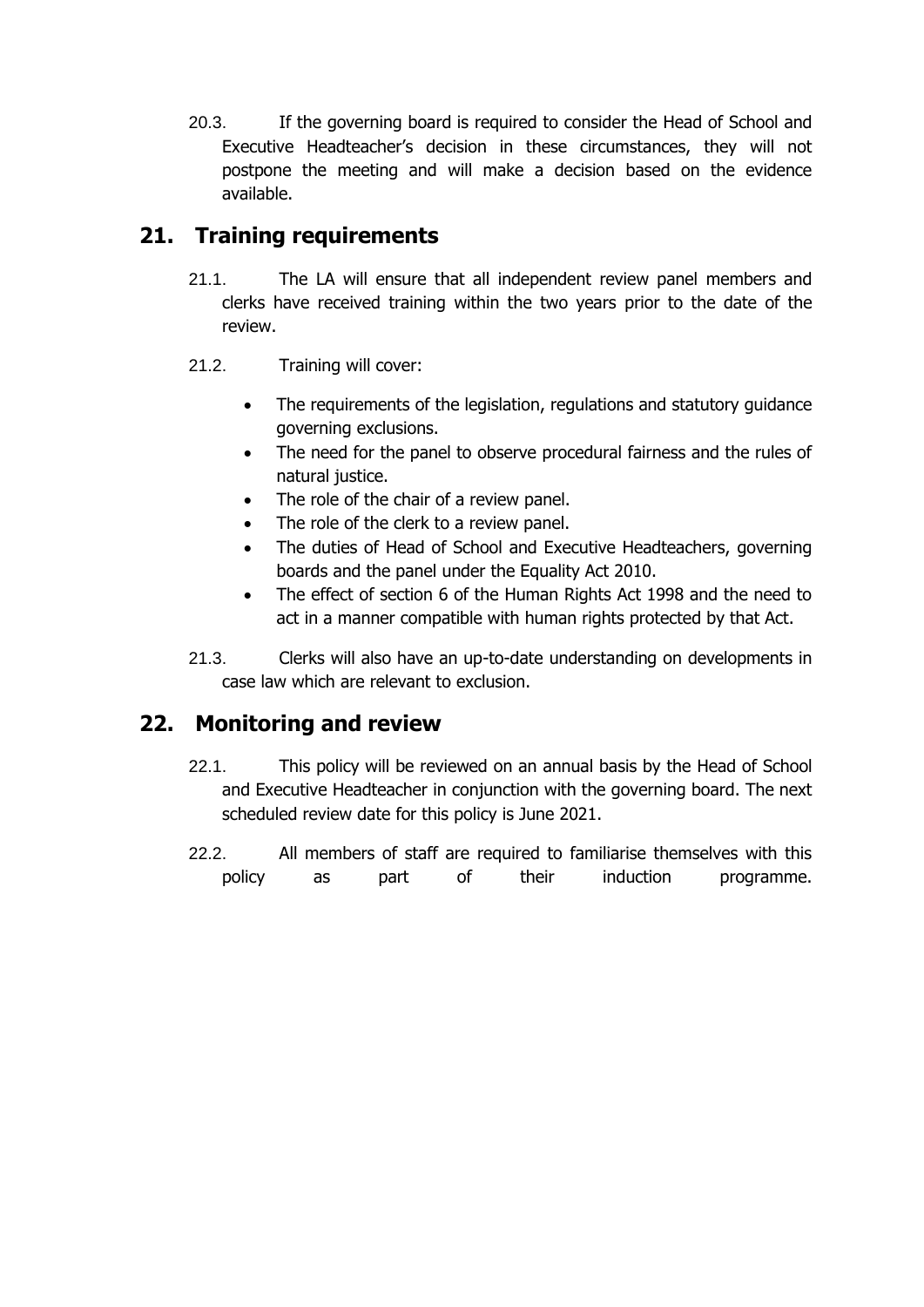20.3. If the governing board is required to consider the Head of School and Executive Headteacher's decision in these circumstances, they will not postpone the meeting and will make a decision based on the evidence available.

# <span id="page-19-0"></span>**21. Training requirements**

- 21.1. The LA will ensure that all independent review panel members and clerks have received training within the two years prior to the date of the review.
- 21.2. Training will cover:
	- The requirements of the legislation, regulations and statutory quidance governing exclusions.
	- The need for the panel to observe procedural fairness and the rules of natural justice.
	- The role of the chair of a review panel.
	- The role of the clerk to a review panel.
	- The duties of Head of School and Executive Headteachers, governing boards and the panel under the Equality Act 2010.
	- The effect of section 6 of the Human Rights Act 1998 and the need to act in a manner compatible with human rights protected by that Act.
- 21.3. Clerks will also have an up-to-date understanding on developments in case law which are relevant to exclusion.

#### <span id="page-19-1"></span>**22. Monitoring and review**

- 22.1. This policy will be reviewed on an annual basis by the Head of School and Executive Headteacher in conjunction with the governing board. The next scheduled review date for this policy is June 2021.
- 22.2. All members of staff are required to familiarise themselves with this policy as part of their induction programme.